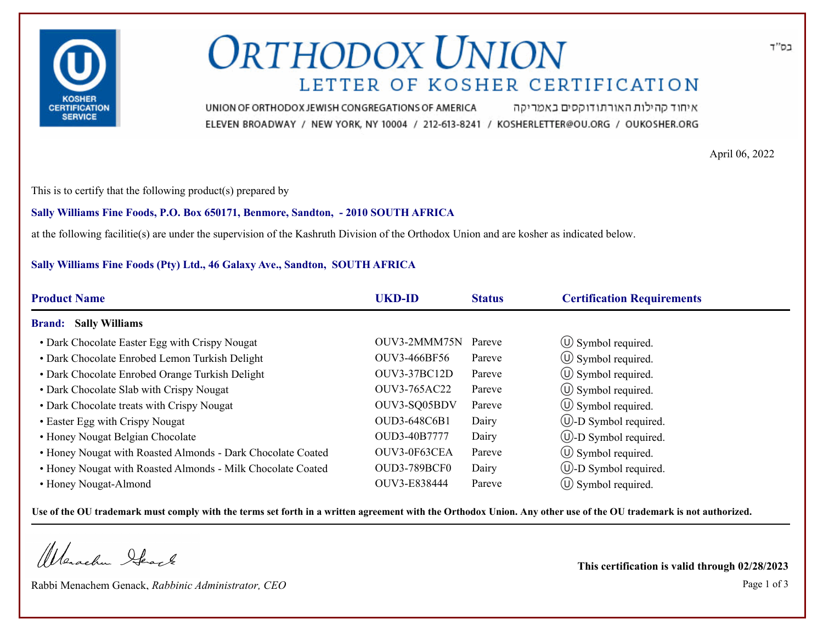

# **ORTHODOX UNION** LETTER OF KOSHER CERTIFICATION

איחוד קהילות האורתודוקסים באמריקה UNION OF ORTHODOX JEWISH CONGREGATIONS OF AMERICA ELEVEN BROADWAY / NEW YORK, NY 10004 / 212-613-8241 / KOSHERLETTER@OU.ORG / OUKOSHER.ORG

April 06, 2022

This is to certify that the following product(s) prepared by

### **Sally Williams Fine Foods, P.O. Box 650171, Benmore, Sandton, - 2010 SOUTH AFRICA**

at the following facilitie(s) are under the supervision of the Kashruth Division of the Orthodox Union and are kosher as indicated below.

### **Sally Williams Fine Foods (Pty) Ltd., 46 Galaxy Ave., Sandton, SOUTH AFRICA**

| <b>Product Name</b>                                         | <b>UKD-ID</b>       | <b>Status</b> | <b>Certification Requirements</b> |
|-------------------------------------------------------------|---------------------|---------------|-----------------------------------|
| <b>Sally Williams</b><br><b>Brand:</b>                      |                     |               |                                   |
| • Dark Chocolate Easter Egg with Crispy Nougat              | OUV3-2MMM75N        | Pareve        | $\circ$ Symbol required.          |
| • Dark Chocolate Enrobed Lemon Turkish Delight              | OUV3-466BF56        | Pareve        | $\circ$ Symbol required.          |
| • Dark Chocolate Enrobed Orange Turkish Delight             | <b>OUV3-37BC12D</b> | Pareve        | $\circ$ Symbol required.          |
| • Dark Chocolate Slab with Crispy Nougat                    | OUV3-765AC22        | Pareve        | $\circ$ Symbol required.          |
| • Dark Chocolate treats with Crispy Nougat                  | OUV3-SQ05BDV        | Pareve        | $\circled{1}$ Symbol required.    |
| • Easter Egg with Crispy Nougat                             | OUD3-648C6B1        | Dairy         | $\cup$ -D Symbol required.        |
| • Honey Nougat Belgian Chocolate                            | OUD3-40B7777        | Dairy         | $\cup$ -D Symbol required.        |
| • Honey Nougat with Roasted Almonds - Dark Chocolate Coated | OUV3-0F63CEA        | Pareve        | $\circ$ Symbol required.          |
| • Honey Nougat with Roasted Almonds - Milk Chocolate Coated | <b>OUD3-789BCF0</b> | Dairy         | $\circled{1}$ -D Symbol required. |
| • Honey Nougat-Almond                                       | OUV3-E838444        | Pareve        | $\circ$ Symbol required.          |

**Use of the OU trademark must comply with the terms set forth in a written agreement with the Orthodox Union. Any other use of the OU trademark is not authorized.**

Werschn Heart

Rabbi Menachem Genack, *Rabbinic Administrator, CEO* Page 1 of 3

**This certification is valid through 02/28/2023**

בס"ד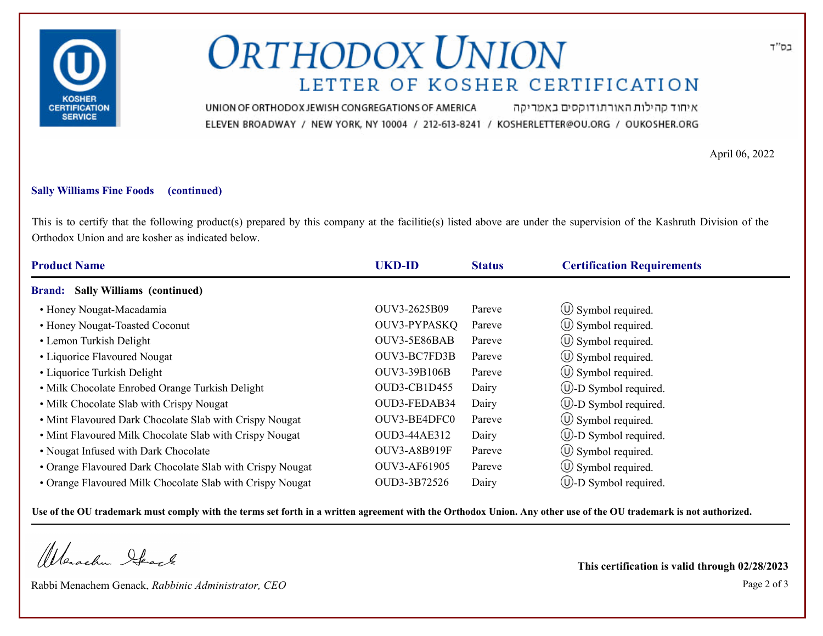

# **ORTHODOX UNION** LETTER OF KOSHER CERTIFICATION

איחוד קהילות האורתודוקסים באמריקה UNION OF ORTHODOX JEWISH CONGREGATIONS OF AMERICA ELEVEN BROADWAY / NEW YORK, NY 10004 / 212-613-8241 / KOSHERLETTER@OU.ORG / OUKOSHER.ORG

April 06, 2022

### **Sally Williams Fine Foods (continued)**

This is to certify that the following product(s) prepared by this company at the facilitie(s) listed above are under the supervision of the Kashruth Division of the Orthodox Union and are kosher as indicated below.

| <b>Product Name</b>                                       | <b>UKD-ID</b> | <b>Status</b> | <b>Certification Requirements</b> |
|-----------------------------------------------------------|---------------|---------------|-----------------------------------|
| <b>Sally Williams (continued)</b><br><b>Brand:</b>        |               |               |                                   |
| • Honey Nougat-Macadamia                                  | OUV3-2625B09  | Pareve        | $\circ$ Symbol required.          |
| • Honey Nougat-Toasted Coconut                            | OUV3-PYPASKQ  | Pareve        | $\circ$ Symbol required.          |
| • Lemon Turkish Delight                                   | OUV3-5E86BAB  | Pareve        | $\circ$ Symbol required.          |
| • Liquorice Flavoured Nougat                              | OUV3-BC7FD3B  | Pareve        | $\circ$ Symbol required.          |
| • Liquorice Turkish Delight                               | OUV3-39B106B  | Pareve        | $\circ$ Symbol required.          |
| • Milk Chocolate Enrobed Orange Turkish Delight           | OUD3-CB1D455  | Dairy         | (U)-D Symbol required.            |
| • Milk Chocolate Slab with Crispy Nougat                  | OUD3-FEDAB34  | Dairy         | $\cup$ -D Symbol required.        |
| • Mint Flavoured Dark Chocolate Slab with Crispy Nougat   | OUV3-BE4DFC0  | Pareve        | $\circ$ Symbol required.          |
| • Mint Flavoured Milk Chocolate Slab with Crispy Nougat   | OUD3-44AE312  | Dairy         | $\cup$ -D Symbol required.        |
| • Nougat Infused with Dark Chocolate                      | OUV3-A8B919F  | Pareve        | $\circ$ Symbol required.          |
| • Orange Flavoured Dark Chocolate Slab with Crispy Nougat | OUV3-AF61905  | Pareve        | $\circ$ Symbol required.          |
| • Orange Flavoured Milk Chocolate Slab with Crispy Nougat | OUD3-3B72526  | Dairy         | $\cup$ -D Symbol required.        |

**Use of the OU trademark must comply with the terms set forth in a written agreement with the Orthodox Union. Any other use of the OU trademark is not authorized.**

Werachen Stack

Rabbi Menachem Genack, *Rabbinic Administrator, CEO* Page 2 of 3

**This certification is valid through 02/28/2023**

בס"ד